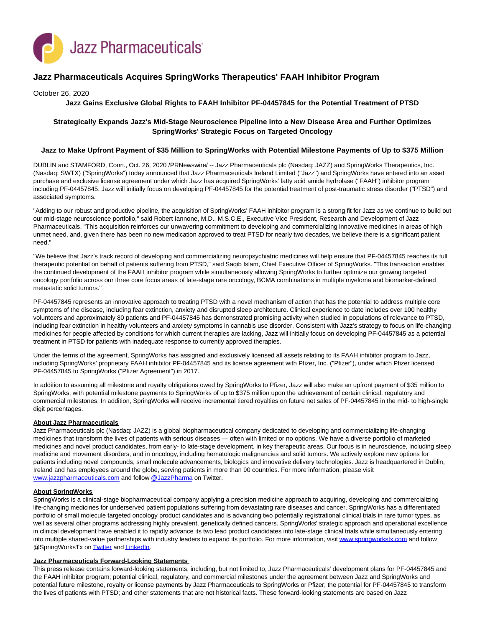

# **Jazz Pharmaceuticals Acquires SpringWorks Therapeutics' FAAH Inhibitor Program**

October 26, 2020

### **Jazz Gains Exclusive Global Rights to FAAH Inhibitor PF-04457845 for the Potential Treatment of PTSD**

# **Strategically Expands Jazz's Mid-Stage Neuroscience Pipeline into a New Disease Area and Further Optimizes SpringWorks' Strategic Focus on Targeted Oncology**

### **Jazz to Make Upfront Payment of \$35 Million to SpringWorks with Potential Milestone Payments of Up to \$375 Million**

DUBLIN and STAMFORD, Conn., Oct. 26, 2020 /PRNewswire/ -- Jazz Pharmaceuticals plc (Nasdaq: JAZZ) and SpringWorks Therapeutics, Inc. (Nasdaq: SWTX) ("SpringWorks") today announced that Jazz Pharmaceuticals Ireland Limited ("Jazz") and SpringWorks have entered into an asset purchase and exclusive license agreement under which Jazz has acquired SpringWorks' fatty acid amide hydrolase ("FAAH") inhibitor program including PF-04457845. Jazz will initially focus on developing PF-04457845 for the potential treatment of post-traumatic stress disorder ("PTSD") and associated symptoms.

"Adding to our robust and productive pipeline, the acquisition of SpringWorks' FAAH inhibitor program is a strong fit for Jazz as we continue to build out our mid-stage neuroscience portfolio," said Robert Iannone, M.D., M.S.C.E., Executive Vice President, Research and Development of Jazz Pharmaceuticals. "This acquisition reinforces our unwavering commitment to developing and commercializing innovative medicines in areas of high unmet need, and, given there has been no new medication approved to treat PTSD for nearly two decades, we believe there is a significant patient need."

"We believe that Jazz's track record of developing and commercializing neuropsychiatric medicines will help ensure that PF-04457845 reaches its full therapeutic potential on behalf of patients suffering from PTSD," said Saqib Islam, Chief Executive Officer of SpringWorks. "This transaction enables the continued development of the FAAH inhibitor program while simultaneously allowing SpringWorks to further optimize our growing targeted oncology portfolio across our three core focus areas of late-stage rare oncology, BCMA combinations in multiple myeloma and biomarker-defined metastatic solid tumors."

PF-04457845 represents an innovative approach to treating PTSD with a novel mechanism of action that has the potential to address multiple core symptoms of the disease, including fear extinction, anxiety and disrupted sleep architecture. Clinical experience to date includes over 100 healthy volunteers and approximately 80 patients and PF-04457845 has demonstrated promising activity when studied in populations of relevance to PTSD, including fear extinction in healthy volunteers and anxiety symptoms in cannabis use disorder. Consistent with Jazz's strategy to focus on life-changing medicines for people affected by conditions for which current therapies are lacking, Jazz will initially focus on developing PF-04457845 as a potential treatment in PTSD for patients with inadequate response to currently approved therapies.

Under the terms of the agreement, SpringWorks has assigned and exclusively licensed all assets relating to its FAAH inhibitor program to Jazz, including SpringWorks' proprietary FAAH inhibitor PF-04457845 and its license agreement with Pfizer, Inc. ("Pfizer"), under which Pfizer licensed PF-04457845 to SpringWorks ("Pfizer Agreement") in 2017.

In addition to assuming all milestone and royalty obligations owed by SpringWorks to Pfizer, Jazz will also make an upfront payment of \$35 million to SpringWorks, with potential milestone payments to SpringWorks of up to \$375 million upon the achievement of certain clinical, regulatory and commercial milestones. In addition, SpringWorks will receive incremental tiered royalties on future net sales of PF-04457845 in the mid- to high-single digit percentages.

#### **About Jazz Pharmaceuticals**

Jazz Pharmaceuticals plc (Nasdaq: JAZZ) is a global biopharmaceutical company dedicated to developing and commercializing life-changing medicines that transform the lives of patients with serious diseases — often with limited or no options. We have a diverse portfolio of marketed medicines and novel product candidates, from early- to late-stage development, in key therapeutic areas. Our focus is in neuroscience, including sleep medicine and movement disorders, and in oncology, including hematologic malignancies and solid tumors. We actively explore new options for patients including novel compounds, small molecule advancements, biologics and innovative delivery technologies. Jazz is headquartered in Dublin, Ireland and has employees around the globe, serving patients in more than 90 countries. For more information, please visit [www.jazzpharmaceuticals.com a](https://c212.net/c/link/?t=0&l=en&o=2960132-1&h=1926256536&u=http%3A%2F%2Fwww.jazzpharmaceuticals.com%2F&a=www.jazzpharmaceuticals.com)nd follow [@JazzPharma o](https://c212.net/c/link/?t=0&l=en&o=2960132-1&h=3466717893&u=https%3A%2F%2Ftwitter.com%2Fjazzpharma&a=%40JazzPharma)n Twitter.

### **About SpringWorks**

SpringWorks is a clinical-stage biopharmaceutical company applying a precision medicine approach to acquiring, developing and commercializing life-changing medicines for underserved patient populations suffering from devastating rare diseases and cancer. SpringWorks has a differentiated portfolio of small molecule targeted oncology product candidates and is advancing two potentially registrational clinical trials in rare tumor types, as well as several other programs addressing highly prevalent, genetically defined cancers. SpringWorks' strategic approach and operational excellence in clinical development have enabled it to rapidly advance its two lead product candidates into late-stage clinical trials while simultaneously entering into multiple shared-value partnerships with industry leaders to expand its portfolio. For more information, visit [www.springworkstx.com a](https://c212.net/c/link/?t=0&l=en&o=2960132-1&h=4289026227&u=https%3A%2F%2Fwww.springworkstx.com%2F&a=www.springworkstx.com)nd follow @SpringWorksTx on [Twitter a](https://c212.net/c/link/?t=0&l=en&o=2960132-1&h=2821558376&u=https%3A%2F%2Ftwitter.com%2Fspringworkstx&a=Twitter)n[d LinkedIn.](https://c212.net/c/link/?t=0&l=en&o=2960132-1&h=184589609&u=https%3A%2F%2Fwww.linkedin.com%2Fcompany%2Fspringworks-therapeutics%2F&a=LinkedIn)

#### **Jazz Pharmaceuticals Forward-Looking Statements**

This press release contains forward-looking statements, including, but not limited to, Jazz Pharmaceuticals' development plans for PF-04457845 and the FAAH inhibitor program; potential clinical, regulatory, and commercial milestones under the agreement between Jazz and SpringWorks and potential future milestone, royalty or license payments by Jazz Pharmaceuticals to SpringWorks or Pfizer; the potential for PF-04457845 to transform the lives of patients with PTSD; and other statements that are not historical facts. These forward-looking statements are based on Jazz